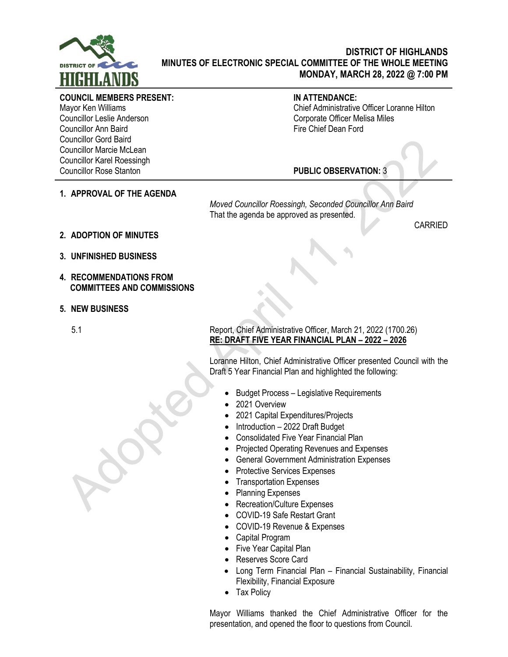

## **DISTRICT OF HIGHLANDS MINUTES OF ELECTRONIC SPECIAL COMMITTEE OF THE WHOLE MEETING MONDAY, MARCH 28, 2022 @ 7:00 PM**

## **COUNCIL MEMBERS PRESENT:**

Mayor Ken Williams Councillor Leslie Anderson Councillor Ann Baird Councillor Gord Baird Councillor Marcie McLean Councillor Karel Roessingh Councillor Rose Stanton

## **IN ATTENDANCE:**

Chief Administrative Officer Loranne Hilton Corporate Officer Melisa Miles Fire Chief Dean Ford

**PUBLIC OBSERVATION:** 3

**1. APPROVAL OF THE AGENDA**

*Moved Councillor Roessingh, Seconded Councillor Ann Baird* That the agenda be approved as presented.

CARRIED

- **2. ADOPTION OF MINUTES**
- **3. UNFINISHED BUSINESS**
- **4. RECOMMENDATIONS FROM COMMITTEES AND COMMISSIONS**
- **5. NEW BUSINESS**

## 5.1 Report, Chief Administrative Officer, March 21, 2022 (1700.26) **RE: DRAFT FIVE YEAR FINANCIAL PLAN – 2022 – 2026**

Loranne Hilton, Chief Administrative Officer presented Council with the Draft 5 Year Financial Plan and highlighted the following:

- Budget Process Legislative Requirements
- 2021 Overview
- 2021 Capital Expenditures/Projects
- Introduction 2022 Draft Budget
- Consolidated Five Year Financial Plan
- Projected Operating Revenues and Expenses
- General Government Administration Expenses
- Protective Services Expenses
- Transportation Expenses
- Planning Expenses
- Recreation/Culture Expenses
- COVID-19 Safe Restart Grant
- COVID-19 Revenue & Expenses
- Capital Program
- Five Year Capital Plan
- Reserves Score Card
- Long Term Financial Plan Financial Sustainability, Financial Flexibility, Financial Exposure
- Tax Policy

Mayor Williams thanked the Chief Administrative Officer for the presentation, and opened the floor to questions from Council.